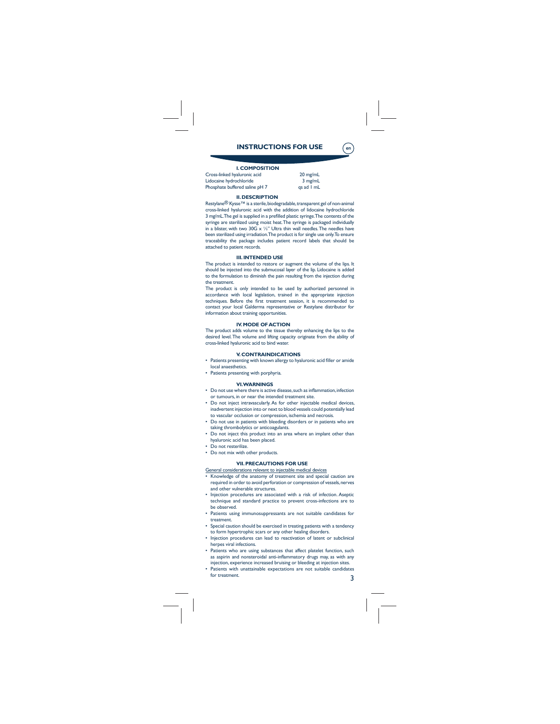# **INSTRUCTIONS FOR USE**

**en**

# **I. COMPOSITION**

Cross-linked hyaluronic acid 20 mg/mL<br>
Lidocaine hydrochloride 3 mg/mL<br>
Phosphate buffered saline pH 7 qs ad 1 mL Lidocaine hydrochloride Phosphate buffered saline  $pH$  7

**II. DESCRIPTION**

Restylane® Kysse™ is a sterile, biodegradable, transparent gel of non-animal<br>cross-linked hyaluronic acid with the addition of lidocaine hydrochloride 3 mg/mL.The gel is supplied in a prefilled plastic syringe.The contents of the<br>syringe are sterilized using moist heat.The syringe is packaged individually in a blister, with two 30G x ½" Ultra thin wall needles. The needles have been sterilized using irradiation. The product is for single use only. To ensure traceability the package includes patient record labels that should be attached to patient records.

#### **III. INTENDED USE**

The product is intended to restore or augment the volume of the lips. It should be injected into the submucosal layer of the lip. Lidocaine is added to the formulation to diminish the pain resulting from the injection during the treatment.

The product is only intended to be used by authorized personnel in accordance with local legislation, trained in the appropriate injection techniques. Before the first treatment session, it is recommended to<br>contact your local Galderma representative or Restylane distributor for information about training opportunities.

#### **IV. MODE OF ACTION**

The product adds volume to the tissue thereby enhancing the lips to the desired level. The volume and lifting capacity originate from the ability of cross-linked hyaluronic acid to bind water.

### **V. CONTRAINDICATIONS**

- Patients presenting with known allergy to hyaluronic acid filler or amide local anaesthetics.
- 

## • Patients presenting with porphyria.

#### **VI. WARNINGS**

- Do not use where there is active disease, such as inflammation, infection
- or tumours, in or near the intended treatment site. • Do not inject intravascularly. As for other injectable medical devices,
- inadvertent injection into or next to blood vessels could potentially lead to vascular occlusion or compression, ischemia and necrosis.
- Do not use in patients with bleeding disorders or in patients who are taking thrombolytics or anticoagulants.
- Do not inject this product into an area where an implant other than
- hyaluronic acid has been placed. • Do not resterilize.
- Do not mix with other products.
- 

#### **VII. PRECAUTIONS FOR USE** General considerations relevant to injectable medical devices

- Knowledge of the anatomy of treatment site and special caution are required in order to avoid perforation or compression of vessels, nerves
- and other vulnerable structures. • Injection procedures are associated with a risk of infection. Aseptic
- technique and standard practice to prevent cross-infections are to be observed. • Patients using immunosuppressants are not suitable candidates for
- treatment.
- Special caution should be exercised in treating patients with a tendency
- to form hypertrophic scars or any other healing disorders. Injection procedures can lead to reactivation of latent or subclinical herpes viral infections.
- Patients who are using substances that affect platelet function, such as aspirin and nonsteroidal anti-inflammatory drugs may, as with any<br>injection, experience increased bruising or bleeding at injection sites.
- Patients with unattainable expectations are not suitable candidates for treatment.

3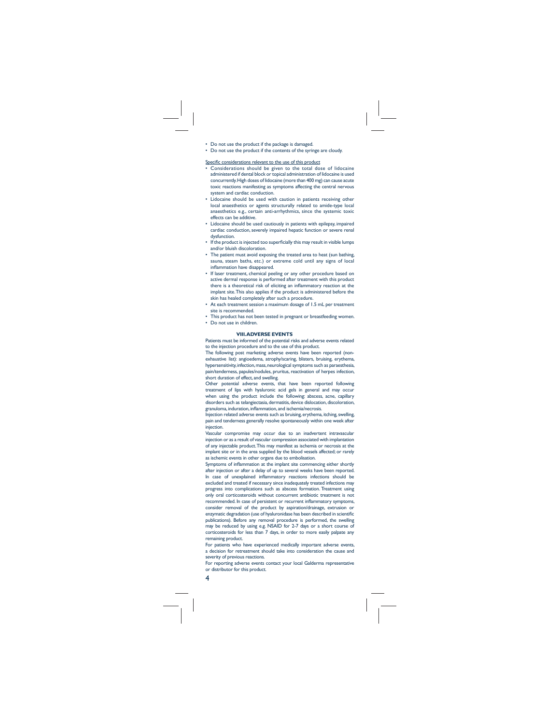• Do not use the product if the package is damaged. • Do not use the product if the contents of the syringe are cloudy.

#### Specific considerations relevant to the use of this product

- Considerations should be given to the total dose of lidocaine administered if dental block or topical administration of lidocaine is used concurrently. High doses of lidocaine (more than 400 mg) can cause acute toxic reactions manifesting as symptoms affecting the central nervous system and cardiac conduction.
- Lidocaine should be used with caution in patients receiving other local anaesthetics or agents structurally related to amide-type local anaesthetics e.g., certain anti-arrhythmics, since the systemic toxic effects can be additive.
- Lidocaine should be used cautiously in patients with epilepsy, impaired cardiac conduction, severely impaired hepatic function or severe renal dysfunction.
- If the product is injected too superficially this may result in visible lumps and/or bluish discoloration.
- The patient must avoid exposing the treated area to heat (sun bathing, sauna, steam baths, etc.) or extreme cold until any signs of local inflammation have disappeared.<br>• If laser treatment, chemical peeling or any other procedure based on
- active dermal response is performed after treatment with this product<br>there is a theoretical risk of eliciting an inflammatory reaction at the implant site. This also applies if the product is administered before the skin has healed completely after such a procedure.
- At each treatment session a maximum dosage of 1.5 mL per treatment site is recommended.
- This product has not been tested in pregnant or breastfeeding women. • Do not use in children.

#### **VIII. ADVERSE EVENTS**

Patients must be informed of the potential risks and adverse events related to the injection procedure and to the use of this product.

The following post marketing adverse events have been reported (nonexhaustive list): angioedema, atrophy/scaring, blisters, bruising, erythema, hypersensitivity, infection, mass, neurological symptoms such as paraesthesia, pain/tenderness, papules/nodules, pruritus, reactivation of herpes infection,

short duration of effect, and swelling. Other potential adverse events, that have been reported following treatment of lips with hyaluronic acid gels in general and may occur when using the product include the following: abscess, acne, capillary disorders such as telangiectasia, dermatitis, device dislocation, discoloration, granuloma, induration, inflammation, and ischemia/necrosis.

Injection related adverse events such as bruising, erythema, itching, swelling, pain and tenderness generally resolve spontaneously within one week after injection.

Vascular compromise may occur due to an inadvertent intravascular injection or as a result of vascular compression associated with implantation of any injectable product. This may manifest as ischemia or necrosis at the implant site or in the area supplied by the blood vessels affected; or rarely as ischemic events in other organs due to embolisation.

Symptoms of inflammation at the implant site commencing either shortly after injection or after a delay of up to several weeks have been reported. In case of unexplained inflammatory reactions infections should be excluded and treated if necessary since inadequately treated infections may progress into complications such as abscess formation. Treatment using only oral corticosteroids without concurrent antibiotic treatment is not recommended. In case of persistent or recurrent inflammatory symptoms consider removal of the product by aspiration/drainage, extrusion or<br>enzymatic degradation (use ofhyaluronidase has been described inscientific publications). Before any removal procedure is performed, the swelling may be reduced by using e.g. NSAID for 2-7 days or a short course of corticosteroids for less than 7 days, in order to more easily palpate any remaining product.

For patients who have experienced medically important adverse events, a decision for retreatment should take into consideration the cause and severity of previous reactions.

For reporting adverse events contact your local Galderma representative or distributor for this product.